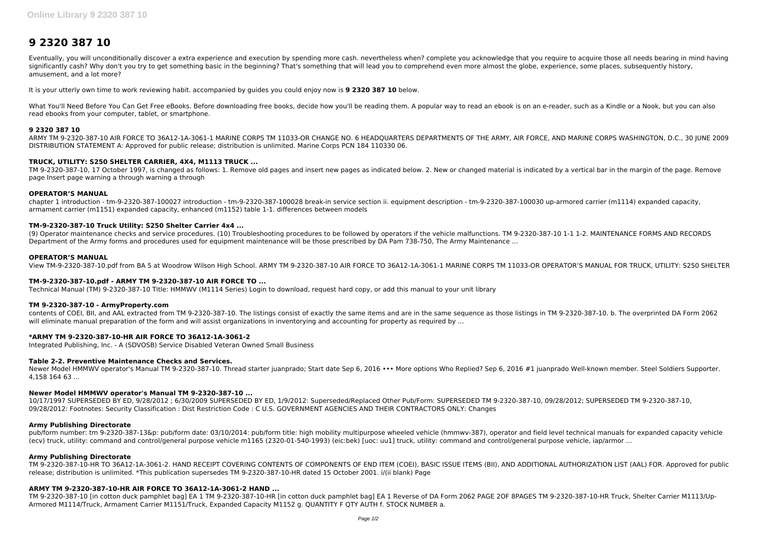# **9 2320 387 10**

Eventually, you will unconditionally discover a extra experience and execution by spending more cash. nevertheless when? complete you acknowledge that you require to acquire those all needs bearing in mind having significantly cash? Why don't you try to get something basic in the beginning? That's something that will lead you to comprehend even more almost the globe, experience, some places, subsequently history, amusement, and a lot more?

What You'll Need Before You Can Get Free eBooks. Before downloading free books, decide how you'll be reading them. A popular way to read an ebook is on an e-reader, such as a Kindle or a Nook, but you can also read ebooks from your computer, tablet, or smartphone.

It is your utterly own time to work reviewing habit. accompanied by guides you could enjoy now is **9 2320 387 10** below.

## **9 2320 387 10**

ARMY TM 9-2320-387-10 AIR FORCE TO 36A12-1A-3061-1 MARINE CORPS TM 11033-OR CHANGE NO. 6 HEADQUARTERS DEPARTMENTS OF THE ARMY, AIR FORCE, AND MARINE CORPS WASHINGTON, D.C., 30 JUNE 2009 DISTRIBUTION STATEMENT A: Approved for public release; distribution is unlimited. Marine Corps PCN 184 110330 06.

# **TRUCK, UTILITY: S250 SHELTER CARRIER, 4X4, M1113 TRUCK ...**

contents of COEI, BII, and AAL extracted from TM 9-2320-387-10. The listings consist of exactly the same items and are in the same sequence as those listings in TM 9-2320-387-10. b. The overprinted DA Form 2062 will eliminate manual preparation of the form and will assist organizations in inventorying and accounting for property as required by ...

TM 9-2320-387-10, 17 October 1997, is changed as follows: 1. Remove old pages and insert new pages as indicated below. 2. New or changed material is indicated by a vertical bar in the margin of the page. Remove page Insert page warning a through warning a through

## **OPERATOR'S MANUAL**

chapter 1 introduction - tm-9-2320-387-100027 introduction - tm-9-2320-387-100028 break-in service section ii. equipment description - tm-9-2320-387-100030 up-armored carrier (m1114) expanded capacity, armament carrier (m1151) expanded capacity, enhanced (m1152) table 1-1. differences between models

Newer Model HMMWV operator's Manual TM 9-2320-387-10. Thread starter juanprado; Start date Sep 6, 2016 •• More options Who Replied? Sep 6, 2016 #1 juanprado Well-known member. Steel Soldiers Supporter. 4,158 164 63 ...

# **TM-9-2320-387-10 Truck Utility: S250 Shelter Carrier 4x4 ...**

(9) Operator maintenance checks and service procedures. (10) Troubleshooting procedures to be followed by operators if the vehicle malfunctions. TM 9-2320-387-10 1-1 1-2. MAINTENANCE FORMS AND RECORDS Department of the Army forms and procedures used for equipment maintenance will be those prescribed by DA Pam 738-750, The Army Maintenance ...

## **OPERATOR'S MANUAL**

View TM-9-2320-387-10.pdf from BA 5 at Woodrow Wilson High School. ARMY TM 9-2320-387-10 AIR FORCE TO 36A12-1A-3061-1 MARINE CORPS TM 11033-OR OPERATOR'S MANUAL FOR TRUCK, UTILITY: S250 SHELTER

# **TM-9-2320-387-10.pdf - ARMY TM 9-2320-387-10 AIR FORCE TO ...**

Technical Manual (TM) 9-2320-387-10 Title: HMMWV (M1114 Series) Login to download, request hard copy, or add this manual to your unit library

# **TM 9-2320-387-10 - ArmyProperty.com**

# **\*ARMY TM 9-2320-387-10-HR AIR FORCE TO 36A12-1A-3061-2**

Integrated Publishing, Inc. - A (SDVOSB) Service Disabled Veteran Owned Small Business

# **Table 2-2. Preventive Maintenance Checks and Services.**

# **Newer Model HMMWV operator's Manual TM 9-2320-387-10 ...**

10/17/1997 SUPERSEDED BY ED, 9/28/2012 ; 6/30/2009 SUPERSEDED BY ED, 1/9/2012: Superseded/Replaced Other Pub/Form: SUPERSEDED TM 9-2320-387-10, 09/28/2012; SUPERSEDED TM 9-2320-387-10, 09/28/2012: Footnotes: Security Classification : Dist Restriction Code : C U.S. GOVERNMENT AGENCIES AND THEIR CONTRACTORS ONLY: Changes

# **Army Publishing Directorate**

pub/form number: tm 9-2320-387-13&p: pub/form date: 03/10/2014: pub/form title: high mobility multipurpose wheeled vehicle (hmmwv-387), operator and field level technical manuals for expanded capacity vehicle (ecv) truck, utility: command and control/general purpose vehicle m1165 (2320-01-540-1993) (eic:bek) [uoc: uu1] truck, utility: command and control/general purpose vehicle, iap/armor ...

## **Army Publishing Directorate**

TM 9-2320-387-10-HR TO 36A12-1A-3061-2. HAND RECEIPT COVERING CONTENTS OF COMPONENTS OF END ITEM (COEI), BASIC ISSUE ITEMS (BII), AND ADDITIONAL AUTHORIZATION LIST (AAL) FOR. Approved for public release; distribution is unlimited. \*This publication supersedes TM 9-2320-387-10-HR dated 15 October 2001. i/(ii blank) Page

# **ARMY TM 9-2320-387-10-HR AIR FORCE TO 36A12-1A-3061-2 HAND ...**

TM 9-2320-387-10 [in cotton duck pamphlet bag] EA 1 TM 9-2320-387-10-HR [in cotton duck pamphlet bag] EA 1 Reverse of DA Form 2062 PAGE 2OF 8PAGES TM 9-2320-387-10-HR Truck, Shelter Carrier M1113/Up-Armored M1114/Truck, Armament Carrier M1151/Truck, Expanded Capacity M1152 g. QUANTITY F QTY AUTH f. STOCK NUMBER a.